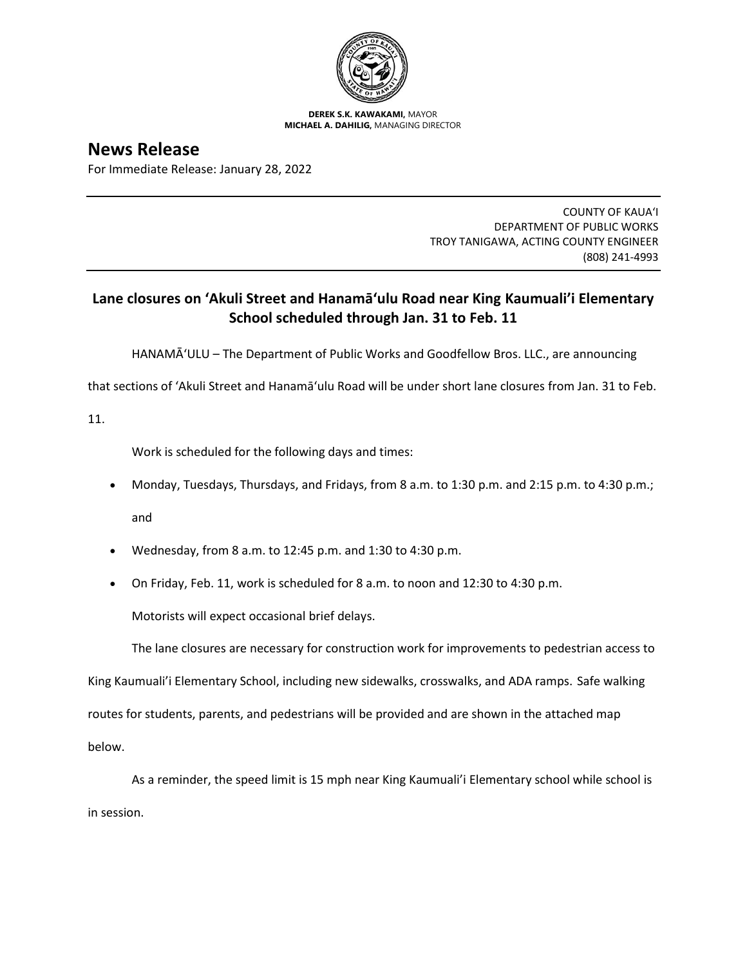

**DEREK S.K. KAWAKAMI,** MAYOR **MICHAEL A. DAHILIG,** MANAGING DIRECTOR

## **News Release**

For Immediate Release: January 28, 2022

COUNTY OF KAUA'I DEPARTMENT OF PUBLIC WORKS TROY TANIGAWA, ACTING COUNTY ENGINEER (808) 241-4993

## **Lane closures on 'Akuli Street and Hanamāʻulu Road near King Kaumuali'i Elementary School scheduled through Jan. 31 to Feb. 11**

HANAMĀʻULU – The Department of Public Works and Goodfellow Bros. LLC., are announcing

that sections of 'Akuli Street and Hanamāʻulu Road will be under short lane closures from Jan. 31 to Feb.

11.

Work is scheduled for the following days and times:

- Monday, Tuesdays, Thursdays, and Fridays, from 8 a.m. to 1:30 p.m. and 2:15 p.m. to 4:30 p.m.; and
- Wednesday, from 8 a.m. to 12:45 p.m. and 1:30 to 4:30 p.m.
- On Friday, Feb. 11, work is scheduled for 8 a.m. to noon and 12:30 to 4:30 p.m.

Motorists will expect occasional brief delays.

The lane closures are necessary for construction work for improvements to pedestrian access to

King Kaumuali'i Elementary School, including new sidewalks, crosswalks, and ADA ramps. Safe walking routes for students, parents, and pedestrians will be provided and are shown in the attached map below.

As a reminder, the speed limit is 15 mph near King Kaumuali'i Elementary school while school is in session.